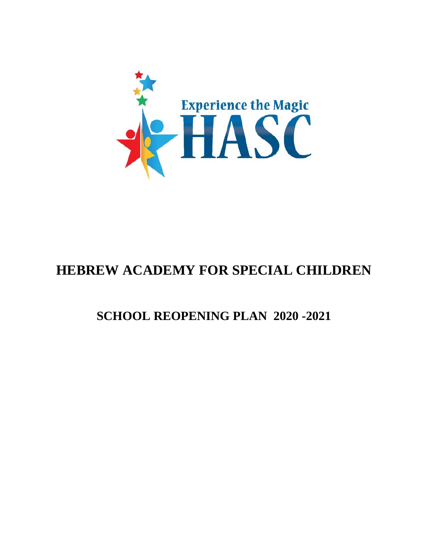

# **HEBREW ACADEMY FOR SPECIAL CHILDREN**

# **SCHOOL REOPENING PLAN 2020 -2021**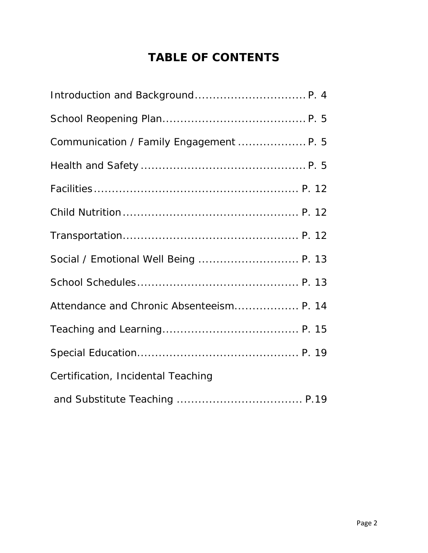# **TABLE OF CONTENTS**

| Communication / Family Engagement  P. 5  |
|------------------------------------------|
|                                          |
|                                          |
|                                          |
|                                          |
| Social / Emotional Well Being  P. 13     |
|                                          |
| Attendance and Chronic Absenteeism P. 14 |
|                                          |
|                                          |
| Certification, Incidental Teaching       |
|                                          |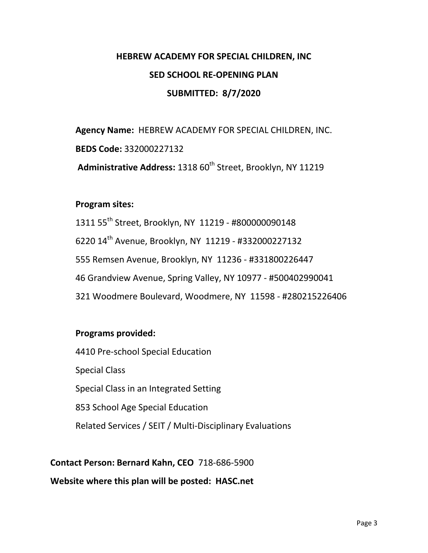# **HEBREW ACADEMY FOR SPECIAL CHILDREN, INC SED SCHOOL RE-OPENING PLAN SUBMITTED: 8/7/2020**

**Agency Name:** HEBREW ACADEMY FOR SPECIAL CHILDREN, INC. **BEDS Code:** 332000227132

Administrative Address: 1318 60<sup>th</sup> Street, Brooklyn, NY 11219

## **Program sites:**

1311 55th Street, Brooklyn, NY 11219 - #800000090148 6220 14th Avenue, Brooklyn, NY 11219 - #332000227132 555 Remsen Avenue, Brooklyn, NY 11236 - #331800226447 46 Grandview Avenue, Spring Valley, NY 10977 - #500402990041 321 Woodmere Boulevard, Woodmere, NY 11598 - #280215226406

## **Programs provided:**

4410 Pre-school Special Education Special Class Special Class in an Integrated Setting 853 School Age Special Education Related Services / SEIT / Multi-Disciplinary Evaluations

## **Contact Person: Bernard Kahn, CEO** 718-686-5900

**Website where this plan will be posted: HASC.net**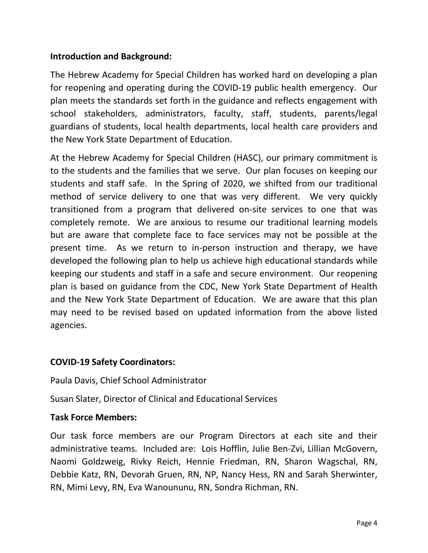## **Introduction and Background:**

The Hebrew Academy for Special Children has worked hard on developing a plan for reopening and operating during the COVID-19 public health emergency. Our plan meets the standards set forth in the guidance and reflects engagement with school stakeholders, administrators, faculty, staff, students, parents/legal guardians of students, local health departments, local health care providers and the New York State Department of Education.

At the Hebrew Academy for Special Children (HASC), our primary commitment is to the students and the families that we serve. Our plan focuses on keeping our students and staff safe. In the Spring of 2020, we shifted from our traditional method of service delivery to one that was very different. We very quickly transitioned from a program that delivered on-site services to one that was completely remote. We are anxious to resume our traditional learning models but are aware that complete face to face services may not be possible at the present time. As we return to in-person instruction and therapy, we have developed the following plan to help us achieve high educational standards while keeping our students and staff in a safe and secure environment. Our reopening plan is based on guidance from the CDC, New York State Department of Health and the New York State Department of Education. We are aware that this plan may need to be revised based on updated information from the above listed agencies.

## **COVID-19 Safety Coordinators:**

Paula Davis, Chief School Administrator

Susan Slater, Director of Clinical and Educational Services

## **Task Force Members:**

Our task force members are our Program Directors at each site and their administrative teams. Included are: Lois Hofflin, Julie Ben-Zvi, Lillian McGovern, Naomi Goldzweig, Rivky Reich, Hennie Friedman, RN, Sharon Wagschal, RN, Debbie Katz, RN, Devorah Gruen, RN, NP, Nancy Hess, RN and Sarah Sherwinter, RN, Mimi Levy, RN, Eva Wanoununu, RN, Sondra Richman, RN.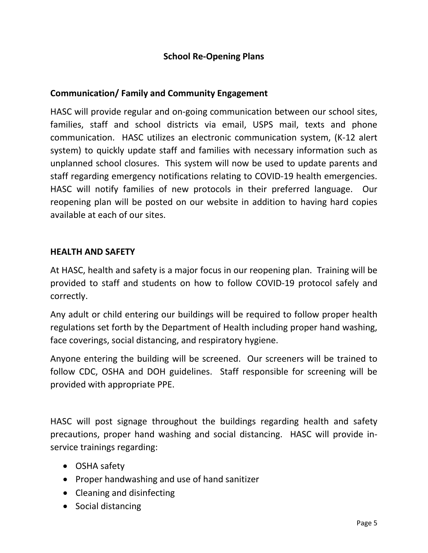## **School Re-Opening Plans**

### **Communication/ Family and Community Engagement**

HASC will provide regular and on-going communication between our school sites, families, staff and school districts via email, USPS mail, texts and phone communication. HASC utilizes an electronic communication system, (K-12 alert system) to quickly update staff and families with necessary information such as unplanned school closures. This system will now be used to update parents and staff regarding emergency notifications relating to COVID-19 health emergencies. HASC will notify families of new protocols in their preferred language. Our reopening plan will be posted on our website in addition to having hard copies available at each of our sites.

#### **HEALTH AND SAFETY**

At HASC, health and safety is a major focus in our reopening plan. Training will be provided to staff and students on how to follow COVID-19 protocol safely and correctly.

Any adult or child entering our buildings will be required to follow proper health regulations set forth by the Department of Health including proper hand washing, face coverings, social distancing, and respiratory hygiene.

Anyone entering the building will be screened. Our screeners will be trained to follow CDC, OSHA and DOH guidelines. Staff responsible for screening will be provided with appropriate PPE.

HASC will post signage throughout the buildings regarding health and safety precautions, proper hand washing and social distancing. HASC will provide inservice trainings regarding:

- OSHA safety
- Proper handwashing and use of hand sanitizer
- Cleaning and disinfecting
- Social distancing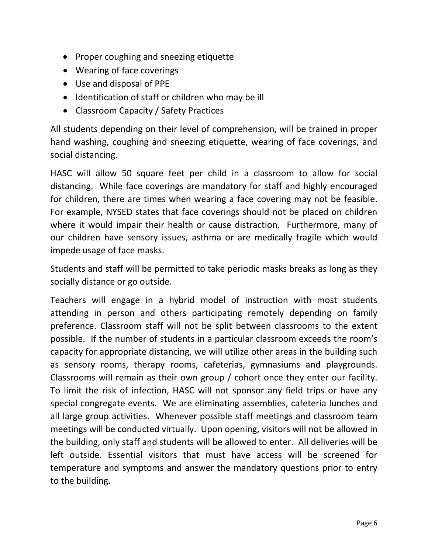- Proper coughing and sneezing etiquette
- Wearing of face coverings
- Use and disposal of PPE
- Identification of staff or children who may be ill
- Classroom Capacity / Safety Practices

All students depending on their level of comprehension, will be trained in proper hand washing, coughing and sneezing etiquette, wearing of face coverings, and social distancing.

HASC will allow 50 square feet per child in a classroom to allow for social distancing. While face coverings are mandatory for staff and highly encouraged for children, there are times when wearing a face covering may not be feasible. For example, NYSED states that face coverings should not be placed on children where it would impair their health or cause distraction. Furthermore, many of our children have sensory issues, asthma or are medically fragile which would impede usage of face masks.

Students and staff will be permitted to take periodic masks breaks as long as they socially distance or go outside.

Teachers will engage in a hybrid model of instruction with most students attending in person and others participating remotely depending on family preference. Classroom staff will not be split between classrooms to the extent possible. If the number of students in a particular classroom exceeds the room's capacity for appropriate distancing, we will utilize other areas in the building such as sensory rooms, therapy rooms, cafeterias, gymnasiums and playgrounds. Classrooms will remain as their own group / cohort once they enter our facility. To limit the risk of infection, HASC will not sponsor any field trips or have any special congregate events. We are eliminating assemblies, cafeteria lunches and all large group activities. Whenever possible staff meetings and classroom team meetings will be conducted virtually. Upon opening, visitors will not be allowed in the building, only staff and students will be allowed to enter. All deliveries will be left outside. Essential visitors that must have access will be screened for temperature and symptoms and answer the mandatory questions prior to entry to the building.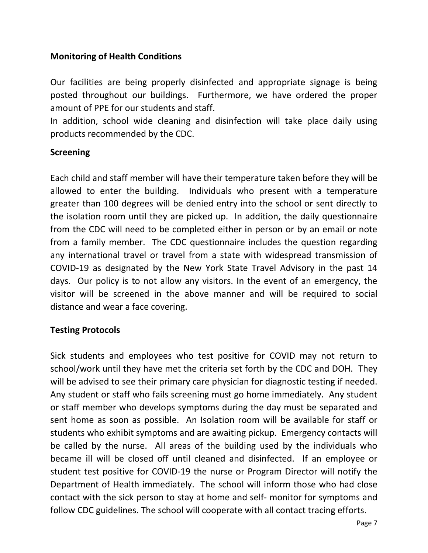## **Monitoring of Health Conditions**

Our facilities are being properly disinfected and appropriate signage is being posted throughout our buildings. Furthermore, we have ordered the proper amount of PPE for our students and staff.

In addition, school wide cleaning and disinfection will take place daily using products recommended by the CDC.

## **Screening**

Each child and staff member will have their temperature taken before they will be allowed to enter the building. Individuals who present with a temperature greater than 100 degrees will be denied entry into the school or sent directly to the isolation room until they are picked up. In addition, the daily questionnaire from the CDC will need to be completed either in person or by an email or note from a family member. The CDC questionnaire includes the question regarding any international travel or travel from a state with widespread transmission of COVID-19 as designated by the New York State Travel Advisory in the past 14 days. Our policy is to not allow any visitors. In the event of an emergency, the visitor will be screened in the above manner and will be required to social distance and wear a face covering.

## **Testing Protocols**

Sick students and employees who test positive for COVID may not return to school/work until they have met the criteria set forth by the CDC and DOH. They will be advised to see their primary care physician for diagnostic testing if needed. Any student or staff who fails screening must go home immediately. Any student or staff member who develops symptoms during the day must be separated and sent home as soon as possible. An Isolation room will be available for staff or students who exhibit symptoms and are awaiting pickup. Emergency contacts will be called by the nurse. All areas of the building used by the individuals who became ill will be closed off until cleaned and disinfected. If an employee or student test positive for COVID-19 the nurse or Program Director will notify the Department of Health immediately. The school will inform those who had close contact with the sick person to stay at home and self- monitor for symptoms and follow CDC guidelines. The school will cooperate with all contact tracing efforts.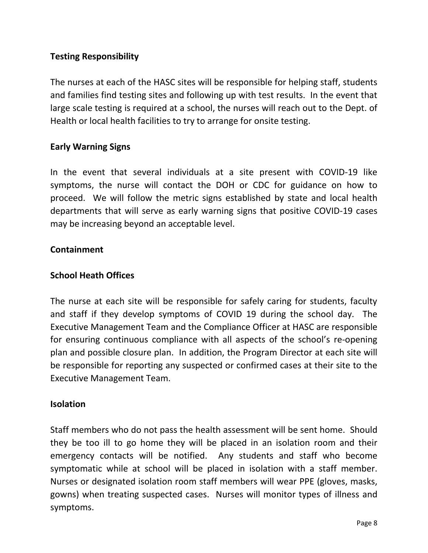## **Testing Responsibility**

The nurses at each of the HASC sites will be responsible for helping staff, students and families find testing sites and following up with test results. In the event that large scale testing is required at a school, the nurses will reach out to the Dept. of Health or local health facilities to try to arrange for onsite testing.

## **Early Warning Signs**

In the event that several individuals at a site present with COVID-19 like symptoms, the nurse will contact the DOH or CDC for guidance on how to proceed. We will follow the metric signs established by state and local health departments that will serve as early warning signs that positive COVID-19 cases may be increasing beyond an acceptable level.

### **Containment**

### **School Heath Offices**

The nurse at each site will be responsible for safely caring for students, faculty and staff if they develop symptoms of COVID 19 during the school day. The Executive Management Team and the Compliance Officer at HASC are responsible for ensuring continuous compliance with all aspects of the school's re-opening plan and possible closure plan. In addition, the Program Director at each site will be responsible for reporting any suspected or confirmed cases at their site to the Executive Management Team.

### **Isolation**

Staff members who do not pass the health assessment will be sent home. Should they be too ill to go home they will be placed in an isolation room and their emergency contacts will be notified. Any students and staff who become symptomatic while at school will be placed in isolation with a staff member. Nurses or designated isolation room staff members will wear PPE (gloves, masks, gowns) when treating suspected cases. Nurses will monitor types of illness and symptoms.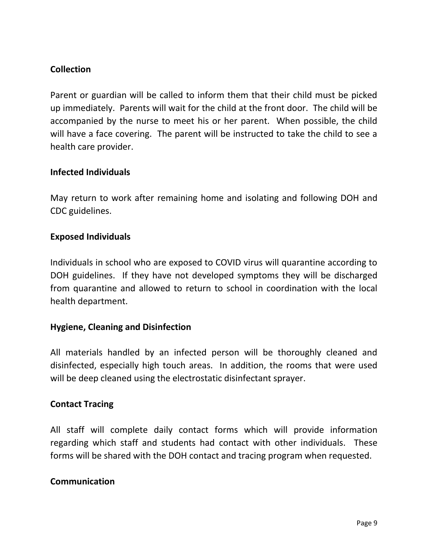## **Collection**

Parent or guardian will be called to inform them that their child must be picked up immediately. Parents will wait for the child at the front door. The child will be accompanied by the nurse to meet his or her parent. When possible, the child will have a face covering. The parent will be instructed to take the child to see a health care provider.

### **Infected Individuals**

May return to work after remaining home and isolating and following DOH and CDC guidelines.

### **Exposed Individuals**

Individuals in school who are exposed to COVID virus will quarantine according to DOH guidelines. If they have not developed symptoms they will be discharged from quarantine and allowed to return to school in coordination with the local health department.

### **Hygiene, Cleaning and Disinfection**

All materials handled by an infected person will be thoroughly cleaned and disinfected, especially high touch areas. In addition, the rooms that were used will be deep cleaned using the electrostatic disinfectant sprayer.

### **Contact Tracing**

All staff will complete daily contact forms which will provide information regarding which staff and students had contact with other individuals. These forms will be shared with the DOH contact and tracing program when requested.

### **Communication**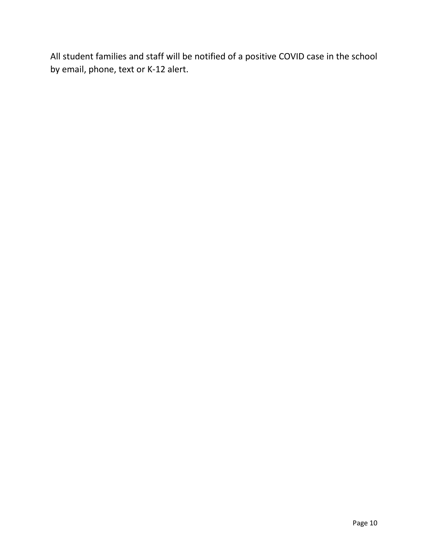All student families and staff will be notified of a positive COVID case in the school by email, phone, text or K-12 alert.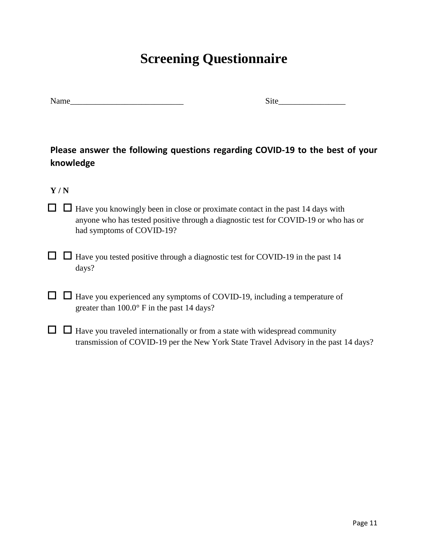# **Screening Questionnaire**

 $\text{Site}$ 

# **Please answer the following questions regarding COVID-19 to the best of your knowledge**

#### **Y / N**

- $\Box$   $\Box$  Have you knowingly been in close or proximate contact in the past 14 days with anyone who has tested positive through a diagnostic test for COVID-19 or who has or had symptoms of COVID-19?
- $\Box$   $\Box$  Have you tested positive through a diagnostic test for COVID-19 in the past 14 days?
- $\Box$   $\Box$  Have you experienced any symptoms of COVID-19, including a temperature of greater than 100.0° F in the past 14 days?
- $\Box$   $\Box$  Have you traveled internationally or from a state with widespread community transmission of COVID-19 per the New York State Travel Advisory in the past 14 days?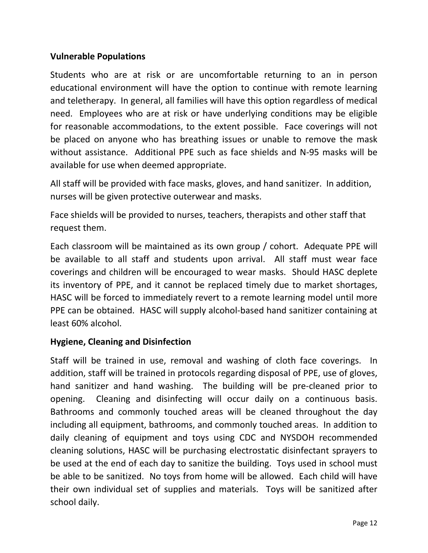## **Vulnerable Populations**

Students who are at risk or are uncomfortable returning to an in person educational environment will have the option to continue with remote learning and teletherapy. In general, all families will have this option regardless of medical need. Employees who are at risk or have underlying conditions may be eligible for reasonable accommodations, to the extent possible. Face coverings will not be placed on anyone who has breathing issues or unable to remove the mask without assistance. Additional PPE such as face shields and N-95 masks will be available for use when deemed appropriate.

All staff will be provided with face masks, gloves, and hand sanitizer. In addition, nurses will be given protective outerwear and masks.

Face shields will be provided to nurses, teachers, therapists and other staff that request them.

Each classroom will be maintained as its own group / cohort. Adequate PPE will be available to all staff and students upon arrival. All staff must wear face coverings and children will be encouraged to wear masks. Should HASC deplete its inventory of PPE, and it cannot be replaced timely due to market shortages, HASC will be forced to immediately revert to a remote learning model until more PPE can be obtained. HASC will supply alcohol-based hand sanitizer containing at least 60% alcohol.

## **Hygiene, Cleaning and Disinfection**

Staff will be trained in use, removal and washing of cloth face coverings. In addition, staff will be trained in protocols regarding disposal of PPE, use of gloves, hand sanitizer and hand washing. The building will be pre-cleaned prior to opening. Cleaning and disinfecting will occur daily on a continuous basis. Bathrooms and commonly touched areas will be cleaned throughout the day including all equipment, bathrooms, and commonly touched areas. In addition to daily cleaning of equipment and toys using CDC and NYSDOH recommended cleaning solutions, HASC will be purchasing electrostatic disinfectant sprayers to be used at the end of each day to sanitize the building. Toys used in school must be able to be sanitized. No toys from home will be allowed. Each child will have their own individual set of supplies and materials. Toys will be sanitized after school daily.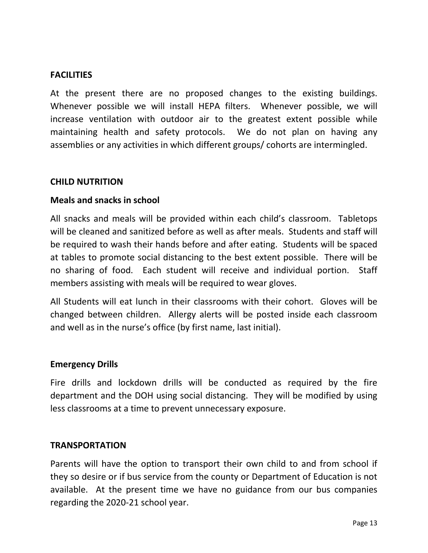### **FACILITIES**

At the present there are no proposed changes to the existing buildings. Whenever possible we will install HEPA filters. Whenever possible, we will increase ventilation with outdoor air to the greatest extent possible while maintaining health and safety protocols. We do not plan on having any assemblies or any activities in which different groups/ cohorts are intermingled.

### **CHILD NUTRITION**

### **Meals and snacks in school**

All snacks and meals will be provided within each child's classroom. Tabletops will be cleaned and sanitized before as well as after meals. Students and staff will be required to wash their hands before and after eating. Students will be spaced at tables to promote social distancing to the best extent possible. There will be no sharing of food. Each student will receive and individual portion. Staff members assisting with meals will be required to wear gloves.

All Students will eat lunch in their classrooms with their cohort. Gloves will be changed between children. Allergy alerts will be posted inside each classroom and well as in the nurse's office (by first name, last initial).

### **Emergency Drills**

Fire drills and lockdown drills will be conducted as required by the fire department and the DOH using social distancing. They will be modified by using less classrooms at a time to prevent unnecessary exposure.

### **TRANSPORTATION**

Parents will have the option to transport their own child to and from school if they so desire or if bus service from the county or Department of Education is not available. At the present time we have no guidance from our bus companies regarding the 2020-21 school year.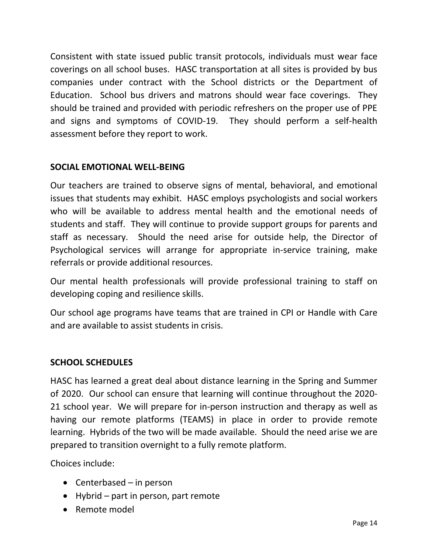Consistent with state issued public transit protocols, individuals must wear face coverings on all school buses. HASC transportation at all sites is provided by bus companies under contract with the School districts or the Department of Education. School bus drivers and matrons should wear face coverings. They should be trained and provided with periodic refreshers on the proper use of PPE and signs and symptoms of COVID-19. They should perform a self-health assessment before they report to work.

## **SOCIAL EMOTIONAL WELL-BEING**

Our teachers are trained to observe signs of mental, behavioral, and emotional issues that students may exhibit. HASC employs psychologists and social workers who will be available to address mental health and the emotional needs of students and staff. They will continue to provide support groups for parents and staff as necessary. Should the need arise for outside help, the Director of Psychological services will arrange for appropriate in-service training, make referrals or provide additional resources.

Our mental health professionals will provide professional training to staff on developing coping and resilience skills.

Our school age programs have teams that are trained in CPI or Handle with Care and are available to assist students in crisis.

## **SCHOOL SCHEDULES**

HASC has learned a great deal about distance learning in the Spring and Summer of 2020. Our school can ensure that learning will continue throughout the 2020- 21 school year. We will prepare for in-person instruction and therapy as well as having our remote platforms (TEAMS) in place in order to provide remote learning. Hybrids of the two will be made available. Should the need arise we are prepared to transition overnight to a fully remote platform.

Choices include:

- Centerbased in person
- Hybrid part in person, part remote
- Remote model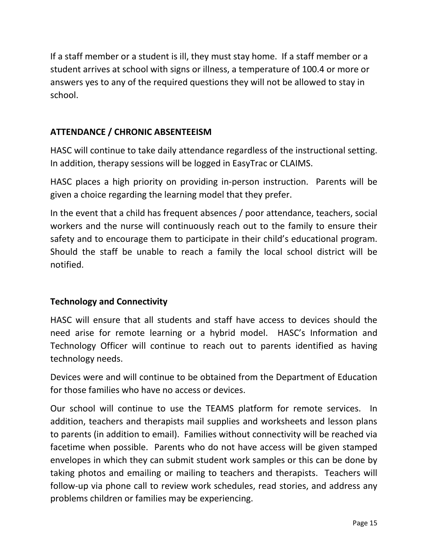If a staff member or a student is ill, they must stay home. If a staff member or a student arrives at school with signs or illness, a temperature of 100.4 or more or answers yes to any of the required questions they will not be allowed to stay in school.

# **ATTENDANCE / CHRONIC ABSENTEEISM**

HASC will continue to take daily attendance regardless of the instructional setting. In addition, therapy sessions will be logged in EasyTrac or CLAIMS.

HASC places a high priority on providing in-person instruction. Parents will be given a choice regarding the learning model that they prefer.

In the event that a child has frequent absences / poor attendance, teachers, social workers and the nurse will continuously reach out to the family to ensure their safety and to encourage them to participate in their child's educational program. Should the staff be unable to reach a family the local school district will be notified.

## **Technology and Connectivity**

HASC will ensure that all students and staff have access to devices should the need arise for remote learning or a hybrid model. HASC's Information and Technology Officer will continue to reach out to parents identified as having technology needs.

Devices were and will continue to be obtained from the Department of Education for those families who have no access or devices.

Our school will continue to use the TEAMS platform for remote services. In addition, teachers and therapists mail supplies and worksheets and lesson plans to parents (in addition to email). Families without connectivity will be reached via facetime when possible. Parents who do not have access will be given stamped envelopes in which they can submit student work samples or this can be done by taking photos and emailing or mailing to teachers and therapists. Teachers will follow-up via phone call to review work schedules, read stories, and address any problems children or families may be experiencing.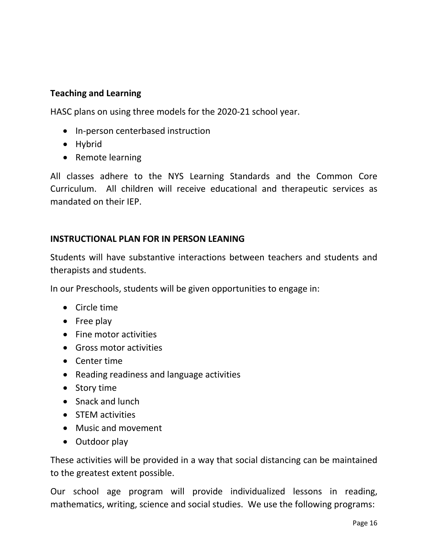## **Teaching and Learning**

HASC plans on using three models for the 2020-21 school year.

- In-person centerbased instruction
- Hybrid
- Remote learning

All classes adhere to the NYS Learning Standards and the Common Core Curriculum. All children will receive educational and therapeutic services as mandated on their IEP.

## **INSTRUCTIONAL PLAN FOR IN PERSON LEANING**

Students will have substantive interactions between teachers and students and therapists and students.

In our Preschools, students will be given opportunities to engage in:

- Circle time
- Free play
- Fine motor activities
- Gross motor activities
- Center time
- Reading readiness and language activities
- Story time
- Snack and lunch
- STEM activities
- Music and movement
- Outdoor play

These activities will be provided in a way that social distancing can be maintained to the greatest extent possible.

Our school age program will provide individualized lessons in reading, mathematics, writing, science and social studies. We use the following programs: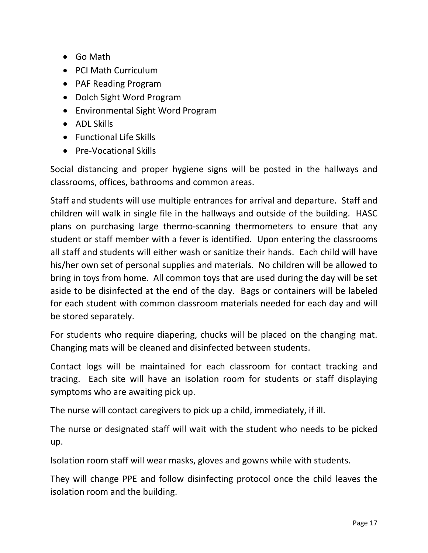- Go Math
- PCI Math Curriculum
- PAF Reading Program
- Dolch Sight Word Program
- Environmental Sight Word Program
- ADL Skills
- Functional Life Skills
- Pre-Vocational Skills

Social distancing and proper hygiene signs will be posted in the hallways and classrooms, offices, bathrooms and common areas.

Staff and students will use multiple entrances for arrival and departure. Staff and children will walk in single file in the hallways and outside of the building. HASC plans on purchasing large thermo-scanning thermometers to ensure that any student or staff member with a fever is identified. Upon entering the classrooms all staff and students will either wash or sanitize their hands. Each child will have his/her own set of personal supplies and materials. No children will be allowed to bring in toys from home. All common toys that are used during the day will be set aside to be disinfected at the end of the day. Bags or containers will be labeled for each student with common classroom materials needed for each day and will be stored separately.

For students who require diapering, chucks will be placed on the changing mat. Changing mats will be cleaned and disinfected between students.

Contact logs will be maintained for each classroom for contact tracking and tracing. Each site will have an isolation room for students or staff displaying symptoms who are awaiting pick up.

The nurse will contact caregivers to pick up a child, immediately, if ill.

The nurse or designated staff will wait with the student who needs to be picked up.

Isolation room staff will wear masks, gloves and gowns while with students.

They will change PPE and follow disinfecting protocol once the child leaves the isolation room and the building.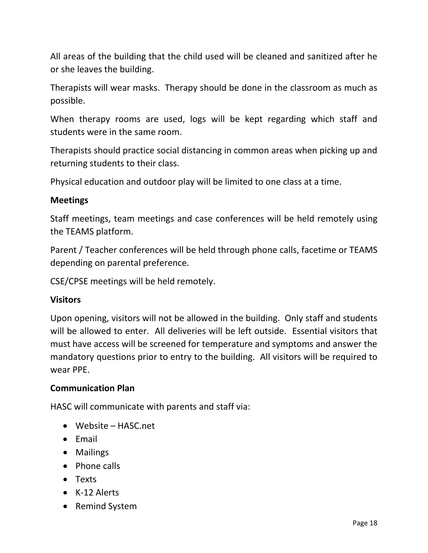All areas of the building that the child used will be cleaned and sanitized after he or she leaves the building.

Therapists will wear masks. Therapy should be done in the classroom as much as possible.

When therapy rooms are used, logs will be kept regarding which staff and students were in the same room.

Therapists should practice social distancing in common areas when picking up and returning students to their class.

Physical education and outdoor play will be limited to one class at a time.

### **Meetings**

Staff meetings, team meetings and case conferences will be held remotely using the TEAMS platform.

Parent / Teacher conferences will be held through phone calls, facetime or TEAMS depending on parental preference.

CSE/CPSE meetings will be held remotely.

### **Visitors**

Upon opening, visitors will not be allowed in the building. Only staff and students will be allowed to enter. All deliveries will be left outside. Essential visitors that must have access will be screened for temperature and symptoms and answer the mandatory questions prior to entry to the building. All visitors will be required to wear PPE.

### **Communication Plan**

HASC will communicate with parents and staff via:

- Website HASC.net
- Email
- Mailings
- Phone calls
- Texts
- K-12 Alerts
- Remind System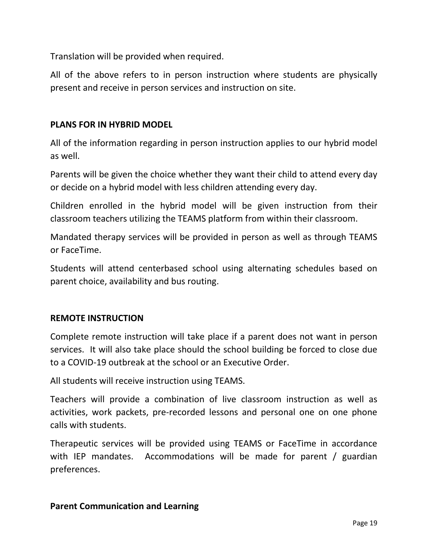Translation will be provided when required.

All of the above refers to in person instruction where students are physically present and receive in person services and instruction on site.

## **PLANS FOR IN HYBRID MODEL**

All of the information regarding in person instruction applies to our hybrid model as well.

Parents will be given the choice whether they want their child to attend every day or decide on a hybrid model with less children attending every day.

Children enrolled in the hybrid model will be given instruction from their classroom teachers utilizing the TEAMS platform from within their classroom.

Mandated therapy services will be provided in person as well as through TEAMS or FaceTime.

Students will attend centerbased school using alternating schedules based on parent choice, availability and bus routing.

## **REMOTE INSTRUCTION**

Complete remote instruction will take place if a parent does not want in person services. It will also take place should the school building be forced to close due to a COVID-19 outbreak at the school or an Executive Order.

All students will receive instruction using TEAMS.

Teachers will provide a combination of live classroom instruction as well as activities, work packets, pre-recorded lessons and personal one on one phone calls with students.

Therapeutic services will be provided using TEAMS or FaceTime in accordance with IEP mandates. Accommodations will be made for parent / guardian preferences.

## **Parent Communication and Learning**